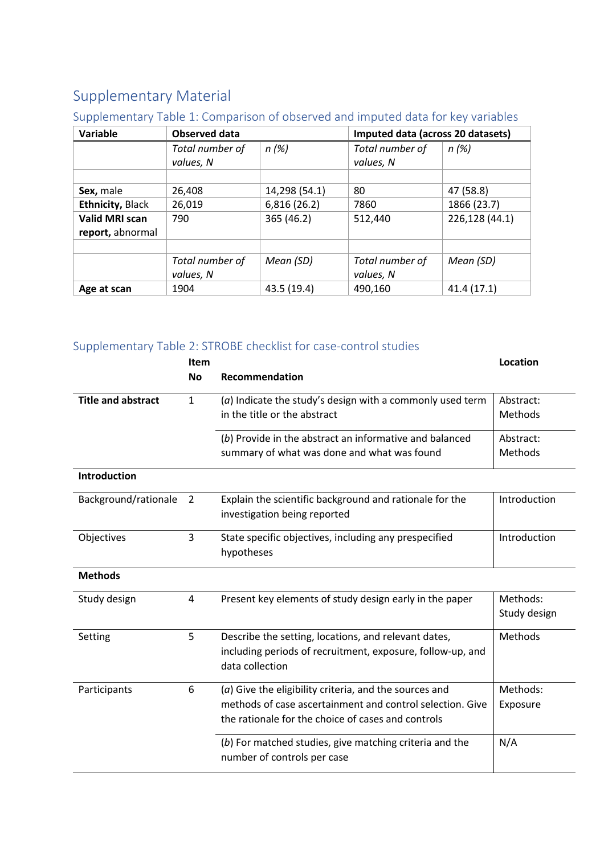## Supplementary Material

#### Supplementary Table 1: Comparison of observed and imputed data for key variables

| Variable                                  | <b>Observed data</b>         |               | Imputed data (across 20 datasets) |                |  |
|-------------------------------------------|------------------------------|---------------|-----------------------------------|----------------|--|
|                                           | Total number of<br>values, N | n(%)          | Total number of<br>values, N      | n(%)           |  |
| Sex, male                                 | 26,408                       | 14,298 (54.1) | 80                                | 47 (58.8)      |  |
| <b>Ethnicity, Black</b>                   | 26,019                       | 6,816 (26.2)  | 7860                              | 1866 (23.7)    |  |
| <b>Valid MRI scan</b><br>report, abnormal | 790                          | 365 (46.2)    | 512,440                           | 226,128 (44.1) |  |
|                                           |                              |               |                                   |                |  |
|                                           | Total number of<br>values, N | Mean (SD)     | Total number of<br>values, N      | Mean (SD)      |  |
| Age at scan                               | 1904                         | 43.5 (19.4)   | 490,160                           | 41.4 (17.1)    |  |

### Supplementary Table 2: STROBE checklist for case-control studies

|                           | Item         |                                                             | Location     |
|---------------------------|--------------|-------------------------------------------------------------|--------------|
|                           | <b>No</b>    | Recommendation                                              |              |
| <b>Title and abstract</b> | $\mathbf{1}$ | $(a)$ Indicate the study's design with a commonly used term | Abstract:    |
|                           |              | in the title or the abstract                                | Methods      |
|                           |              | (b) Provide in the abstract an informative and balanced     | Abstract:    |
|                           |              | summary of what was done and what was found                 | Methods      |
| Introduction              |              |                                                             |              |
| Background/rationale      | 2            | Explain the scientific background and rationale for the     | Introduction |
|                           |              | investigation being reported                                |              |
| Objectives                | 3            | State specific objectives, including any prespecified       | Introduction |
|                           |              | hypotheses                                                  |              |
| <b>Methods</b>            |              |                                                             |              |
| Study design              | 4            | Present key elements of study design early in the paper     | Methods:     |
|                           |              |                                                             | Study design |
| Setting                   | 5            | Describe the setting, locations, and relevant dates,        | Methods      |
|                           |              | including periods of recruitment, exposure, follow-up, and  |              |
|                           |              | data collection                                             |              |
| Participants              | 6            | $(a)$ Give the eligibility criteria, and the sources and    | Methods:     |
|                           |              | methods of case ascertainment and control selection. Give   | Exposure     |
|                           |              | the rationale for the choice of cases and controls          |              |
|                           |              | (b) For matched studies, give matching criteria and the     | N/A          |
|                           |              | number of controls per case                                 |              |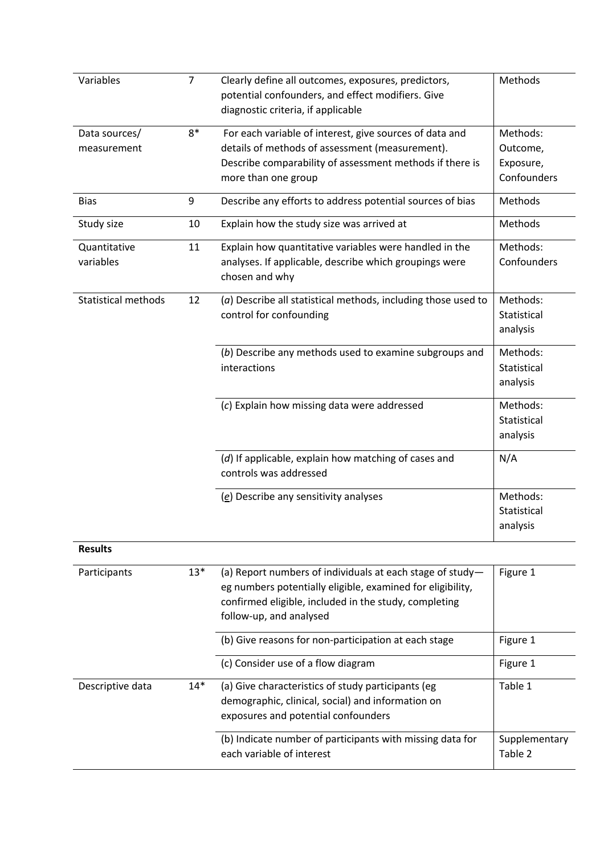| Variables                    | $\overline{7}$ | Clearly define all outcomes, exposures, predictors,<br>potential confounders, and effect modifiers. Give<br>diagnostic criteria, if applicable                                                              | Methods                                          |
|------------------------------|----------------|-------------------------------------------------------------------------------------------------------------------------------------------------------------------------------------------------------------|--------------------------------------------------|
| Data sources/<br>measurement | $8*$           | For each variable of interest, give sources of data and<br>details of methods of assessment (measurement).<br>Describe comparability of assessment methods if there is<br>more than one group               | Methods:<br>Outcome,<br>Exposure,<br>Confounders |
| <b>Bias</b>                  | 9              | Describe any efforts to address potential sources of bias                                                                                                                                                   | Methods                                          |
| Study size                   | 10             | Explain how the study size was arrived at                                                                                                                                                                   | Methods                                          |
| Quantitative<br>variables    | 11             | Explain how quantitative variables were handled in the<br>analyses. If applicable, describe which groupings were<br>chosen and why                                                                          | Methods:<br>Confounders                          |
| <b>Statistical methods</b>   | 12             | (a) Describe all statistical methods, including those used to<br>control for confounding                                                                                                                    | Methods:<br>Statistical<br>analysis              |
|                              |                | (b) Describe any methods used to examine subgroups and<br>interactions                                                                                                                                      | Methods:<br>Statistical<br>analysis              |
|                              |                | (c) Explain how missing data were addressed                                                                                                                                                                 | Methods:<br>Statistical<br>analysis              |
|                              |                | (d) If applicable, explain how matching of cases and<br>controls was addressed                                                                                                                              | N/A                                              |
|                              |                | (e) Describe any sensitivity analyses                                                                                                                                                                       | Methods:<br>Statistical<br>analysis              |
| <b>Results</b>               |                |                                                                                                                                                                                                             |                                                  |
| Participants                 | $13*$          | (a) Report numbers of individuals at each stage of study-<br>eg numbers potentially eligible, examined for eligibility,<br>confirmed eligible, included in the study, completing<br>follow-up, and analysed | Figure 1                                         |
|                              |                | (b) Give reasons for non-participation at each stage                                                                                                                                                        | Figure 1                                         |
|                              |                | (c) Consider use of a flow diagram                                                                                                                                                                          | Figure 1                                         |
| Descriptive data             | $14*$          | (a) Give characteristics of study participants (eg<br>demographic, clinical, social) and information on<br>exposures and potential confounders                                                              | Table 1                                          |
|                              |                | (b) Indicate number of participants with missing data for<br>each variable of interest                                                                                                                      | Supplementary<br>Table 2                         |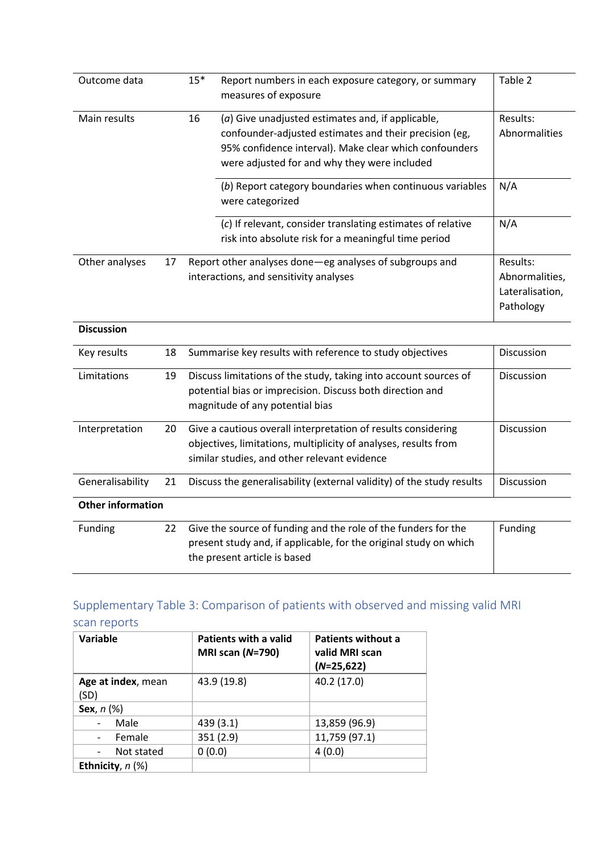| Outcome data   |    | $15*$ | Report numbers in each exposure category, or summary<br>measures of exposure                                                                                                                                            | Table 2                                                    |
|----------------|----|-------|-------------------------------------------------------------------------------------------------------------------------------------------------------------------------------------------------------------------------|------------------------------------------------------------|
| Main results   |    | 16    | $(a)$ Give unadjusted estimates and, if applicable,<br>confounder-adjusted estimates and their precision (eg,<br>95% confidence interval). Make clear which confounders<br>were adjusted for and why they were included | Results:<br>Abnormalities                                  |
|                |    |       | (b) Report category boundaries when continuous variables<br>were categorized                                                                                                                                            | N/A                                                        |
|                |    |       | (c) If relevant, consider translating estimates of relative<br>risk into absolute risk for a meaningful time period                                                                                                     | N/A                                                        |
| Other analyses | 17 |       | Report other analyses done—eg analyses of subgroups and<br>interactions, and sensitivity analyses                                                                                                                       | Results:<br>Abnormalities,<br>Lateralisation,<br>Pathology |

| <b>Discussion</b>        |    |                                                                                                                                                                                  |                   |
|--------------------------|----|----------------------------------------------------------------------------------------------------------------------------------------------------------------------------------|-------------------|
| Key results              | 18 | Summarise key results with reference to study objectives                                                                                                                         | <b>Discussion</b> |
| Limitations              | 19 | Discuss limitations of the study, taking into account sources of<br>potential bias or imprecision. Discuss both direction and<br>magnitude of any potential bias                 | <b>Discussion</b> |
| Interpretation           | 20 | Give a cautious overall interpretation of results considering<br>objectives, limitations, multiplicity of analyses, results from<br>similar studies, and other relevant evidence | <b>Discussion</b> |
| Generalisability         | 21 | Discuss the generalisability (external validity) of the study results                                                                                                            | <b>Discussion</b> |
| <b>Other information</b> |    |                                                                                                                                                                                  |                   |
| <b>Funding</b>           | 22 | Give the source of funding and the role of the funders for the<br>present study and, if applicable, for the original study on which<br>the present article is based              | <b>Funding</b>    |

# Supplementary Table 3: Comparison of patients with observed and missing valid MRI

scan reports

| Variable                         | <b>Patients with a valid</b><br><b>MRI scan (N=790)</b> | <b>Patients without a</b><br>valid MRI scan<br>$(N=25,622)$ |
|----------------------------------|---------------------------------------------------------|-------------------------------------------------------------|
| Age at index, mean<br>(SD)       | 43.9 (19.8)                                             | 40.2 (17.0)                                                 |
| Sex, $n$ $(\%)$                  |                                                         |                                                             |
| Male<br>$\overline{\phantom{a}}$ | 439 (3.1)                                               | 13,859 (96.9)                                               |
| Female<br>$\sim$                 | 351(2.9)                                                | 11,759 (97.1)                                               |
| Not stated                       | 0(0.0)                                                  | 4(0.0)                                                      |
| Ethnicity, $n$ (%)               |                                                         |                                                             |